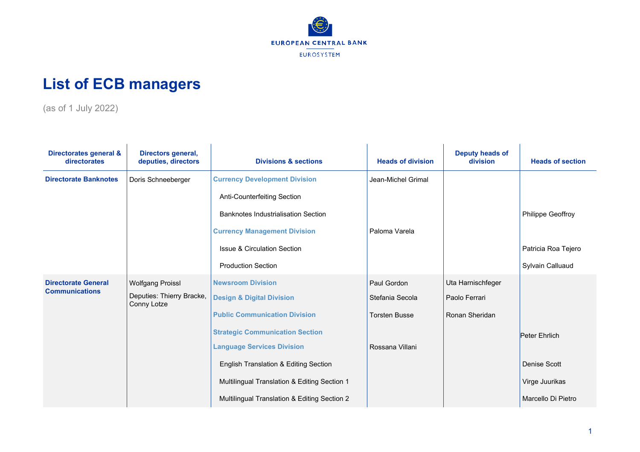

## **List of ECB managers**

(as of 1 July 2022)

| Directorates general &<br>directorates | Directors general,<br>deputies, directors | <b>Divisions &amp; sections</b>              | <b>Heads of division</b> | Deputy heads of<br>division | <b>Heads of section</b> |
|----------------------------------------|-------------------------------------------|----------------------------------------------|--------------------------|-----------------------------|-------------------------|
| <b>Directorate Banknotes</b>           | Doris Schneeberger                        | <b>Currency Development Division</b>         | Jean-Michel Grimal       |                             |                         |
|                                        |                                           | Anti-Counterfeiting Section                  |                          |                             |                         |
|                                        |                                           | Banknotes Industrialisation Section          |                          |                             | Philippe Geoffroy       |
|                                        |                                           | <b>Currency Management Division</b>          | Paloma Varela            |                             |                         |
|                                        |                                           | <b>Issue &amp; Circulation Section</b>       |                          |                             | Patricia Roa Tejero     |
|                                        |                                           | <b>Production Section</b>                    |                          |                             | Sylvain Calluaud        |
| <b>Directorate General</b>             | <b>Wolfgang Proissl</b>                   | <b>Newsroom Division</b>                     | Paul Gordon              | Uta Harnischfeger           |                         |
| <b>Communications</b>                  | Deputies: Thierry Bracke,<br>Conny Lotze  | <b>Design &amp; Digital Division</b>         | Stefania Secola          | Paolo Ferrari               |                         |
|                                        |                                           | <b>Public Communication Division</b>         | <b>Torsten Busse</b>     | Ronan Sheridan              |                         |
|                                        |                                           | <b>Strategic Communication Section</b>       |                          |                             | Peter Ehrlich           |
|                                        |                                           | <b>Language Services Division</b>            | Rossana Villani          |                             |                         |
|                                        |                                           | English Translation & Editing Section        |                          |                             | Denise Scott            |
|                                        |                                           | Multilingual Translation & Editing Section 1 |                          |                             | Virge Juurikas          |
|                                        |                                           | Multilingual Translation & Editing Section 2 |                          |                             | Marcello Di Pietro      |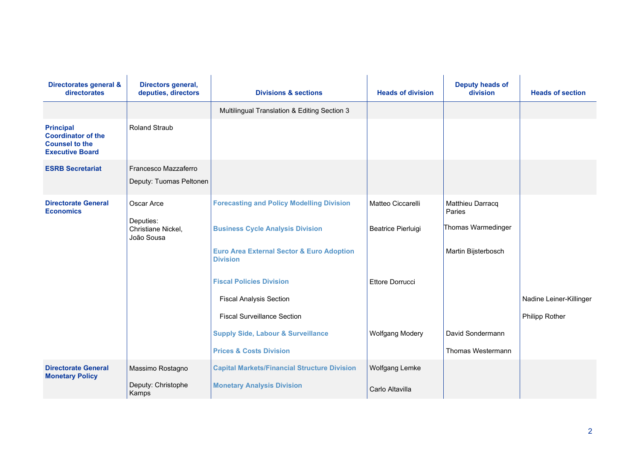| Directorates general &<br>directorates                                                           | Directors general,<br>deputies, directors                   | <b>Divisions &amp; sections</b>                                         | <b>Heads of division</b> | <b>Deputy heads of</b><br>division |                         |
|--------------------------------------------------------------------------------------------------|-------------------------------------------------------------|-------------------------------------------------------------------------|--------------------------|------------------------------------|-------------------------|
|                                                                                                  |                                                             | Multilingual Translation & Editing Section 3                            |                          |                                    |                         |
| <b>Principal</b><br><b>Coordinator of the</b><br><b>Counsel to the</b><br><b>Executive Board</b> | <b>Roland Straub</b>                                        |                                                                         |                          |                                    |                         |
| <b>ESRB Secretariat</b>                                                                          | Francesco Mazzaferro<br>Deputy: Tuomas Peltonen             |                                                                         |                          |                                    |                         |
| <b>Directorate General</b><br><b>Economics</b>                                                   | Oscar Arce<br>Deputies:<br>Christiane Nickel,<br>João Sousa | <b>Forecasting and Policy Modelling Division</b>                        | Matteo Ciccarelli        | Matthieu Darracq<br>Paries         |                         |
|                                                                                                  |                                                             | <b>Business Cycle Analysis Division</b>                                 | Beatrice Pierluigi       | Thomas Warmedinger                 |                         |
|                                                                                                  |                                                             | <b>Euro Area External Sector &amp; Euro Adoption</b><br><b>Division</b> |                          | Martin Bijsterbosch                |                         |
|                                                                                                  |                                                             | <b>Fiscal Policies Division</b>                                         | Ettore Dorrucci          |                                    |                         |
|                                                                                                  |                                                             | <b>Fiscal Analysis Section</b>                                          |                          |                                    | Nadine Leiner-Killinger |
|                                                                                                  |                                                             | <b>Fiscal Surveillance Section</b>                                      |                          |                                    | Philipp Rother          |
|                                                                                                  |                                                             | <b>Supply Side, Labour &amp; Surveillance</b>                           | <b>Wolfgang Modery</b>   | David Sondermann                   |                         |
|                                                                                                  |                                                             | <b>Prices &amp; Costs Division</b>                                      |                          | Thomas Westermann                  |                         |
| <b>Directorate General</b><br><b>Monetary Policy</b>                                             | Massimo Rostagno                                            | <b>Capital Markets/Financial Structure Division</b>                     | <b>Wolfgang Lemke</b>    |                                    |                         |
|                                                                                                  | Deputy: Christophe<br>Kamps                                 | <b>Monetary Analysis Division</b>                                       | Carlo Altavilla          |                                    |                         |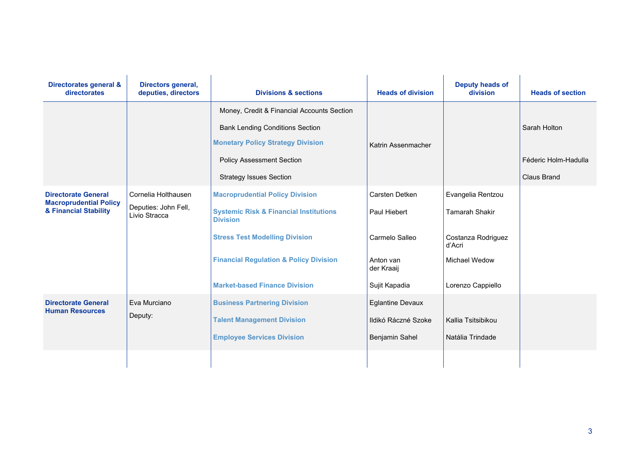| Directorates general &<br>directorates                                               | Directors general,<br>deputies, directors                    | <b>Divisions &amp; sections</b>                                                                                                                                                                                                                      | <b>Heads of division</b>                                                                     | <b>Deputy heads of</b><br>division                                                                               | <b>Heads of section</b>                                    |
|--------------------------------------------------------------------------------------|--------------------------------------------------------------|------------------------------------------------------------------------------------------------------------------------------------------------------------------------------------------------------------------------------------------------------|----------------------------------------------------------------------------------------------|------------------------------------------------------------------------------------------------------------------|------------------------------------------------------------|
|                                                                                      |                                                              | Money, Credit & Financial Accounts Section<br><b>Bank Lending Conditions Section</b><br><b>Monetary Policy Strategy Division</b><br><b>Policy Assessment Section</b><br><b>Strategy Issues Section</b>                                               | Katrin Assenmacher                                                                           |                                                                                                                  | Sarah Holton<br>Féderic Holm-Hadulla<br><b>Claus Brand</b> |
| <b>Directorate General</b><br><b>Macroprudential Policy</b><br>& Financial Stability | Cornelia Holthausen<br>Deputies: John Fell,<br>Livio Stracca | <b>Macroprudential Policy Division</b><br><b>Systemic Risk &amp; Financial Institutions</b><br><b>Division</b><br><b>Stress Test Modelling Division</b><br><b>Financial Regulation &amp; Policy Division</b><br><b>Market-based Finance Division</b> | Carsten Detken<br>Paul Hiebert<br>Carmelo Salleo<br>Anton van<br>der Kraaij<br>Sujit Kapadia | Evangelia Rentzou<br><b>Tamarah Shakir</b><br>Costanza Rodriguez<br>d'Acri<br>Michael Wedow<br>Lorenzo Cappiello |                                                            |
| <b>Directorate General</b><br><b>Human Resources</b>                                 | Eva Murciano<br>Deputy:                                      | <b>Business Partnering Division</b><br><b>Talent Management Division</b><br><b>Employee Services Division</b>                                                                                                                                        | <b>Eglantine Devaux</b><br>Ildikó Ráczné Szoke<br>Benjamin Sahel                             | Kallia Tsitsibikou<br>Natália Trindade                                                                           |                                                            |
|                                                                                      |                                                              |                                                                                                                                                                                                                                                      |                                                                                              |                                                                                                                  |                                                            |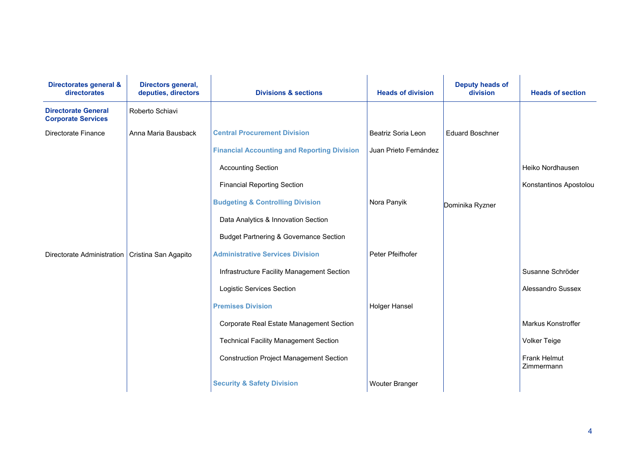| Directorates general &<br>directorates                  | Directors general,<br>deputies, directors | <b>Divisions &amp; sections</b>                    | <b>Heads of division</b> | <b>Deputy heads of</b><br>division | <b>Heads of section</b>           |
|---------------------------------------------------------|-------------------------------------------|----------------------------------------------------|--------------------------|------------------------------------|-----------------------------------|
| <b>Directorate General</b><br><b>Corporate Services</b> | Roberto Schiavi                           |                                                    |                          |                                    |                                   |
| Directorate Finance                                     | Anna Maria Bausback                       | <b>Central Procurement Division</b>                | Beatriz Soria Leon       | <b>Eduard Boschner</b>             |                                   |
|                                                         |                                           | <b>Financial Accounting and Reporting Division</b> | Juan Prieto Fernández    |                                    |                                   |
|                                                         |                                           | <b>Accounting Section</b>                          |                          |                                    | Heiko Nordhausen                  |
|                                                         |                                           | <b>Financial Reporting Section</b>                 |                          |                                    | Konstantinos Apostolou            |
|                                                         |                                           | <b>Budgeting &amp; Controlling Division</b>        | Nora Panyik              | Dominika Ryzner                    |                                   |
|                                                         |                                           | Data Analytics & Innovation Section                |                          |                                    |                                   |
|                                                         |                                           | <b>Budget Partnering &amp; Governance Section</b>  |                          |                                    |                                   |
| Directorate Administration   Cristina San Agapito       |                                           | <b>Administrative Services Division</b>            | Peter Pfeifhofer         |                                    |                                   |
|                                                         |                                           | Infrastructure Facility Management Section         |                          |                                    | Susanne Schröder                  |
|                                                         |                                           | <b>Logistic Services Section</b>                   |                          |                                    | Alessandro Sussex                 |
|                                                         |                                           | <b>Premises Division</b>                           | <b>Holger Hansel</b>     |                                    |                                   |
|                                                         |                                           | Corporate Real Estate Management Section           |                          |                                    | Markus Konstroffer                |
|                                                         |                                           | <b>Technical Facility Management Section</b>       |                          |                                    | <b>Volker Teige</b>               |
|                                                         |                                           | <b>Construction Project Management Section</b>     |                          |                                    | <b>Frank Helmut</b><br>Zimmermann |
|                                                         |                                           | <b>Security &amp; Safety Division</b>              | <b>Wouter Branger</b>    |                                    |                                   |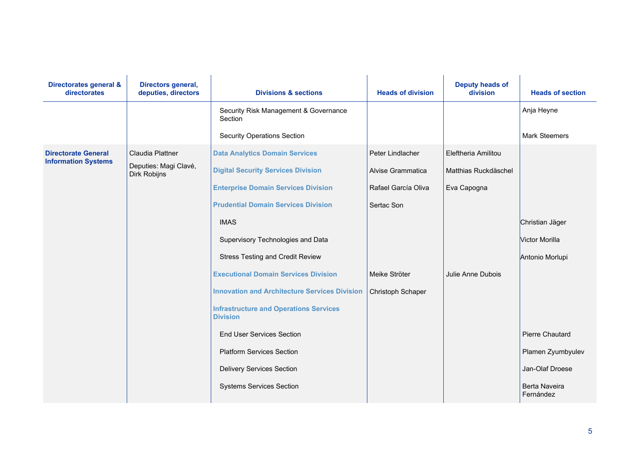| Directorates general &<br>directorates                   | Directors general,<br>deputies, directors                        | <b>Divisions &amp; sections</b>                                                                                                                                                                                                                                                                                                                                                                                                                                                              | <b>Heads of division</b>                                                                                         | <b>Deputy heads of</b><br>division                                              | <b>Heads of section</b>                                                        |
|----------------------------------------------------------|------------------------------------------------------------------|----------------------------------------------------------------------------------------------------------------------------------------------------------------------------------------------------------------------------------------------------------------------------------------------------------------------------------------------------------------------------------------------------------------------------------------------------------------------------------------------|------------------------------------------------------------------------------------------------------------------|---------------------------------------------------------------------------------|--------------------------------------------------------------------------------|
|                                                          |                                                                  | Security Risk Management & Governance<br>Section                                                                                                                                                                                                                                                                                                                                                                                                                                             |                                                                                                                  |                                                                                 | Anja Heyne                                                                     |
|                                                          |                                                                  | <b>Security Operations Section</b>                                                                                                                                                                                                                                                                                                                                                                                                                                                           |                                                                                                                  |                                                                                 | <b>Mark Steemers</b>                                                           |
| <b>Directorate General</b><br><b>Information Systems</b> | Claudia Plattner<br>Deputies: Magi Clavé,<br><b>Dirk Robijns</b> | <b>Data Analytics Domain Services</b><br><b>Digital Security Services Division</b><br><b>Enterprise Domain Services Division</b><br><b>Prudential Domain Services Division</b><br><b>IMAS</b><br>Supervisory Technologies and Data<br><b>Stress Testing and Credit Review</b><br><b>Executional Domain Services Division</b><br><b>Innovation and Architecture Services Division</b><br><b>Infrastructure and Operations Services</b><br><b>Division</b><br><b>End User Services Section</b> | Peter Lindlacher<br>Alvise Grammatica<br>Rafael García Oliva<br>Sertac Son<br>Meike Ströter<br>Christoph Schaper | Eleftheria Amilitou<br>Matthias Ruckdäschel<br>Eva Capogna<br>Julie Anne Dubois | Christian Jäger<br>Victor Morilla<br>Antonio Morlupi<br><b>Pierre Chautard</b> |
|                                                          |                                                                  | <b>Platform Services Section</b>                                                                                                                                                                                                                                                                                                                                                                                                                                                             |                                                                                                                  |                                                                                 | Plamen Zyumbyulev                                                              |
|                                                          |                                                                  | <b>Delivery Services Section</b>                                                                                                                                                                                                                                                                                                                                                                                                                                                             |                                                                                                                  |                                                                                 | Jan-Olaf Droese                                                                |
|                                                          |                                                                  | <b>Systems Services Section</b>                                                                                                                                                                                                                                                                                                                                                                                                                                                              |                                                                                                                  |                                                                                 | Berta Naveira<br>Fernández                                                     |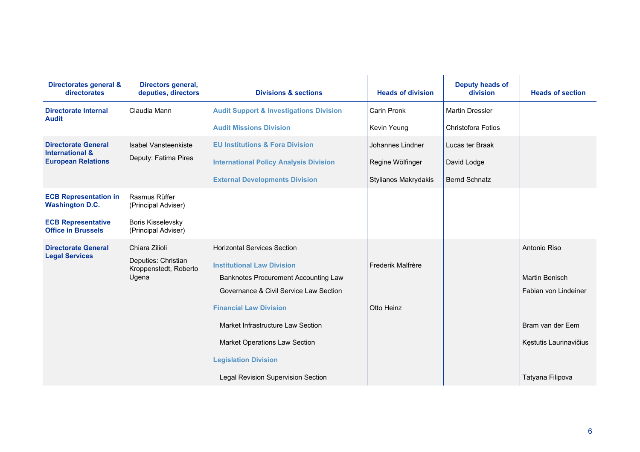| Directorates general &<br>directorates                   | Directors general,<br>deputies, directors                               | <b>Divisions &amp; sections</b>                                                                                                                           | <b>Heads of division</b>    | <b>Deputy heads of</b><br>division | <b>Heads of section</b>                                       |
|----------------------------------------------------------|-------------------------------------------------------------------------|-----------------------------------------------------------------------------------------------------------------------------------------------------------|-----------------------------|------------------------------------|---------------------------------------------------------------|
| <b>Directorate Internal</b><br><b>Audit</b>              | Claudia Mann                                                            | <b>Audit Support &amp; Investigations Division</b>                                                                                                        | Carin Pronk                 | <b>Martin Dressler</b>             |                                                               |
|                                                          |                                                                         | <b>Audit Missions Division</b>                                                                                                                            | Kevin Yeung                 | <b>Christofora Fotios</b>          |                                                               |
| <b>Directorate General</b><br><b>International &amp;</b> | Isabel Vansteenkiste                                                    | <b>EU Institutions &amp; Fora Division</b>                                                                                                                | Johannes Lindner            | Lucas ter Braak                    |                                                               |
| <b>European Relations</b>                                | Deputy: Fatima Pires                                                    | <b>International Policy Analysis Division</b>                                                                                                             | Regine Wölfinger            | David Lodge                        |                                                               |
|                                                          |                                                                         | <b>External Developments Division</b>                                                                                                                     | <b>Stylianos Makrydakis</b> | <b>Bernd Schnatz</b>               |                                                               |
| <b>ECB Representation in</b><br><b>Washington D.C.</b>   | Rasmus Rüffer<br>(Principal Adviser)                                    |                                                                                                                                                           |                             |                                    |                                                               |
| <b>ECB Representative</b><br><b>Office in Brussels</b>   | <b>Boris Kisselevsky</b><br>(Principal Adviser)                         |                                                                                                                                                           |                             |                                    |                                                               |
| <b>Directorate General</b><br><b>Legal Services</b>      | Chiara Zilioli<br>Deputies: Christian<br>Kroppenstedt, Roberto<br>Ugena | <b>Horizontal Services Section</b><br><b>Institutional Law Division</b><br>Banknotes Procurement Accounting Law<br>Governance & Civil Service Law Section | Frederik Malfrère           |                                    | Antonio Riso<br><b>Martin Benisch</b><br>Fabian von Lindeiner |
|                                                          |                                                                         | <b>Financial Law Division</b>                                                                                                                             | Otto Heinz                  |                                    |                                                               |
|                                                          |                                                                         | Market Infrastructure Law Section                                                                                                                         |                             |                                    | Bram van der Eem                                              |
|                                                          |                                                                         | Market Operations Law Section                                                                                                                             |                             |                                    | Kęstutis Laurinavičius                                        |
|                                                          |                                                                         | <b>Legislation Division</b>                                                                                                                               |                             |                                    |                                                               |
|                                                          |                                                                         | Legal Revision Supervision Section                                                                                                                        |                             |                                    | Tatyana Filipova                                              |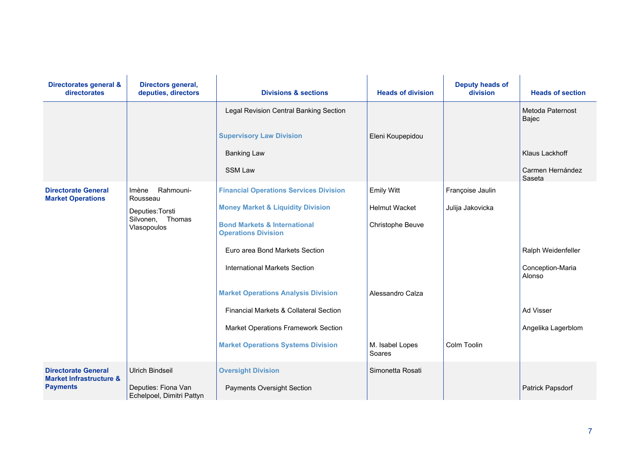| Directorates general &<br>directorates                           | Directors general,<br>deputies, directors              | <b>Divisions &amp; sections</b>                                       | <b>Heads of division</b>  | <b>Deputy heads of</b><br>division | <b>Heads of section</b>    |
|------------------------------------------------------------------|--------------------------------------------------------|-----------------------------------------------------------------------|---------------------------|------------------------------------|----------------------------|
|                                                                  |                                                        | Legal Revision Central Banking Section                                |                           |                                    | Metoda Paternost<br>Bajec  |
|                                                                  |                                                        | <b>Supervisory Law Division</b>                                       | Eleni Koupepidou          |                                    |                            |
|                                                                  |                                                        | <b>Banking Law</b>                                                    |                           |                                    | Klaus Lackhoff             |
|                                                                  |                                                        | <b>SSM Law</b>                                                        |                           |                                    | Carmen Hernández<br>Saseta |
| <b>Directorate General</b><br><b>Market Operations</b>           | Rahmouni-<br>Imène<br>Rousseau                         | <b>Financial Operations Services Division</b>                         | <b>Emily Witt</b>         | Françoise Jaulin                   |                            |
|                                                                  | Deputies: Torsti<br>Thomas<br>Silvonen,<br>Vlasopoulos | <b>Money Market &amp; Liquidity Division</b>                          | <b>Helmut Wacket</b>      | Julija Jakovicka                   |                            |
|                                                                  |                                                        | <b>Bond Markets &amp; International</b><br><b>Operations Division</b> | Christophe Beuve          |                                    |                            |
|                                                                  |                                                        | Euro area Bond Markets Section                                        |                           |                                    | Ralph Weidenfeller         |
|                                                                  |                                                        | <b>International Markets Section</b>                                  |                           |                                    | Conception-Maria<br>Alonso |
|                                                                  |                                                        | <b>Market Operations Analysis Division</b>                            | Alessandro Calza          |                                    |                            |
|                                                                  |                                                        | Financial Markets & Collateral Section                                |                           |                                    | Ad Visser                  |
|                                                                  |                                                        | Market Operations Framework Section                                   |                           |                                    | Angelika Lagerblom         |
|                                                                  |                                                        | <b>Market Operations Systems Division</b>                             | M. Isabel Lopes<br>Soares | Colm Toolin                        |                            |
| <b>Directorate General</b><br><b>Market Infrastructure &amp;</b> | <b>Ulrich Bindseil</b>                                 | <b>Oversight Division</b>                                             | Simonetta Rosati          |                                    |                            |
| <b>Payments</b>                                                  | Deputies: Fiona Van<br>Echelpoel, Dimitri Pattyn       | <b>Payments Oversight Section</b>                                     |                           |                                    | Patrick Papsdorf           |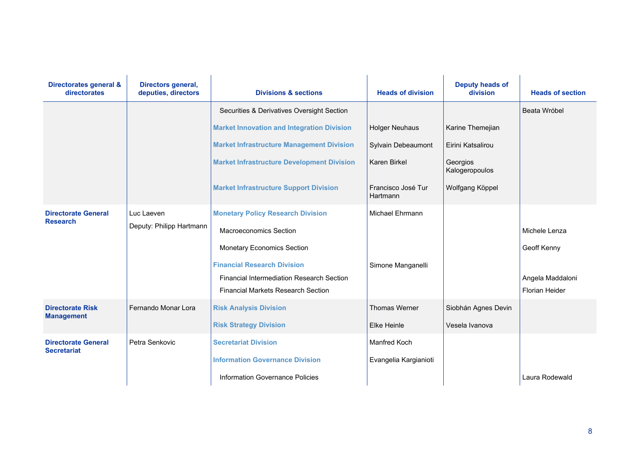| Directorates general &<br>directorates           | Directors general,<br>deputies, directors | <b>Divisions &amp; sections</b>                   | <b>Heads of division</b>       | <b>Deputy heads of</b><br>division | <b>Heads of section</b> |
|--------------------------------------------------|-------------------------------------------|---------------------------------------------------|--------------------------------|------------------------------------|-------------------------|
|                                                  |                                           | Securities & Derivatives Oversight Section        |                                |                                    | Beata Wróbel            |
|                                                  |                                           | <b>Market Innovation and Integration Division</b> | <b>Holger Neuhaus</b>          | Karine Themejian                   |                         |
|                                                  |                                           | <b>Market Infrastructure Management Division</b>  | Sylvain Debeaumont             | Eirini Katsalirou                  |                         |
|                                                  |                                           | <b>Market Infrastructure Development Division</b> | Karen Birkel                   | Georgios<br>Kalogeropoulos         |                         |
|                                                  |                                           | <b>Market Infrastructure Support Division</b>     | Francisco José Tur<br>Hartmann | Wolfgang Köppel                    |                         |
| <b>Directorate General</b><br><b>Research</b>    | Luc Laeven<br>Deputy: Philipp Hartmann    | <b>Monetary Policy Research Division</b>          | Michael Ehrmann                |                                    |                         |
|                                                  |                                           | <b>Macroeconomics Section</b>                     |                                |                                    | Michele Lenza           |
|                                                  |                                           | <b>Monetary Economics Section</b>                 |                                |                                    | Geoff Kenny             |
|                                                  |                                           | <b>Financial Research Division</b>                | Simone Manganelli              |                                    |                         |
|                                                  |                                           | <b>Financial Intermediation Research Section</b>  |                                |                                    | Angela Maddaloni        |
|                                                  |                                           | <b>Financial Markets Research Section</b>         |                                |                                    | <b>Florian Heider</b>   |
| <b>Directorate Risk</b><br><b>Management</b>     | Fernando Monar Lora                       | <b>Risk Analysis Division</b>                     | <b>Thomas Werner</b>           | Siobhán Agnes Devin                |                         |
|                                                  |                                           | <b>Risk Strategy Division</b>                     | Elke Heinle                    | Vesela Ivanova                     |                         |
| <b>Directorate General</b><br><b>Secretariat</b> | Petra Senkovic                            | <b>Secretariat Division</b>                       | <b>Manfred Koch</b>            |                                    |                         |
|                                                  |                                           | <b>Information Governance Division</b>            | Evangelia Kargianioti          |                                    |                         |
|                                                  |                                           | Information Governance Policies                   |                                |                                    | Laura Rodewald          |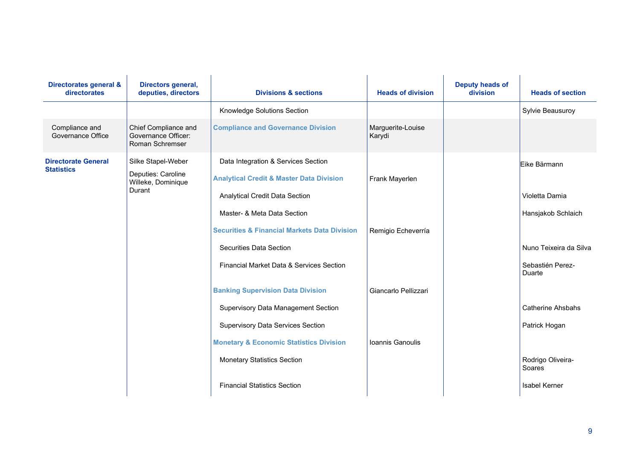| Directorates general &<br>directorates          | Directors general,<br>deputies, directors                                | <b>Divisions &amp; sections</b>                                                                                              | <b>Heads of division</b>    | <b>Deputy heads of</b><br>division | <b>Heads of section</b>                      |
|-------------------------------------------------|--------------------------------------------------------------------------|------------------------------------------------------------------------------------------------------------------------------|-----------------------------|------------------------------------|----------------------------------------------|
|                                                 |                                                                          | Knowledge Solutions Section                                                                                                  |                             |                                    | Sylvie Beausuroy                             |
| Compliance and<br>Governance Office             | Chief Compliance and<br>Governance Officer:<br>Roman Schremser           | <b>Compliance and Governance Division</b>                                                                                    | Marguerite-Louise<br>Karydi |                                    |                                              |
| <b>Directorate General</b><br><b>Statistics</b> | Silke Stapel-Weber<br>Deputies: Caroline<br>Willeke, Dominique<br>Durant | Data Integration & Services Section<br><b>Analytical Credit &amp; Master Data Division</b><br>Analytical Credit Data Section | Frank Mayerlen              |                                    | Eike Bärmann<br>Violetta Damia               |
|                                                 |                                                                          | Master- & Meta Data Section<br><b>Securities &amp; Financial Markets Data Division</b><br><b>Securities Data Section</b>     | Remigio Echeverría          |                                    | Hansjakob Schlaich<br>Nuno Teixeira da Silva |
|                                                 |                                                                          | Financial Market Data & Services Section                                                                                     |                             |                                    | Sebastién Perez-<br>Duarte                   |
|                                                 |                                                                          | <b>Banking Supervision Data Division</b>                                                                                     | Giancarlo Pellizzari        |                                    |                                              |
|                                                 |                                                                          | Supervisory Data Management Section                                                                                          |                             |                                    | <b>Catherine Ahsbahs</b>                     |
|                                                 |                                                                          | <b>Supervisory Data Services Section</b>                                                                                     |                             |                                    | Patrick Hogan                                |
|                                                 |                                                                          | <b>Monetary &amp; Economic Statistics Division</b>                                                                           | Ioannis Ganoulis            |                                    |                                              |
|                                                 |                                                                          | <b>Monetary Statistics Section</b>                                                                                           |                             |                                    | Rodrigo Oliveira-<br>Soares                  |
|                                                 |                                                                          | <b>Financial Statistics Section</b>                                                                                          |                             |                                    | Isabel Kerner                                |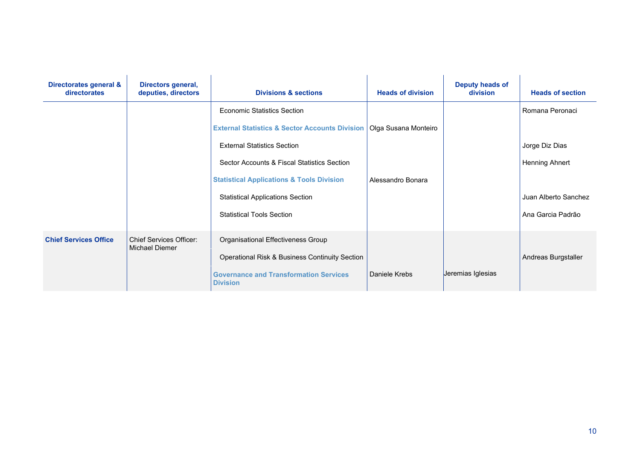| Directorates general &<br>directorates | Directors general,<br>deputies, directors        | <b>Divisions &amp; sections</b>                                  | <b>Heads of division</b> | Deputy heads of<br>division | <b>Heads of section</b> |
|----------------------------------------|--------------------------------------------------|------------------------------------------------------------------|--------------------------|-----------------------------|-------------------------|
|                                        |                                                  | <b>Economic Statistics Section</b>                               |                          |                             | Romana Peronaci         |
|                                        |                                                  | <b>External Statistics &amp; Sector Accounts Division</b>        | Olga Susana Monteiro     |                             |                         |
|                                        |                                                  | <b>External Statistics Section</b>                               |                          |                             | Jorge Diz Dias          |
|                                        |                                                  | Sector Accounts & Fiscal Statistics Section                      |                          |                             | <b>Henning Ahnert</b>   |
|                                        |                                                  | <b>Statistical Applications &amp; Tools Division</b>             | Alessandro Bonara        |                             |                         |
|                                        |                                                  | <b>Statistical Applications Section</b>                          |                          |                             | Juan Alberto Sanchez    |
|                                        |                                                  | <b>Statistical Tools Section</b>                                 |                          |                             | Ana Garcia Padrão       |
| <b>Chief Services Office</b>           | <b>Chief Services Officer:</b><br>Michael Diemer | Organisational Effectiveness Group                               |                          |                             |                         |
|                                        |                                                  | Operational Risk & Business Continuity Section                   |                          |                             | Andreas Burgstaller     |
|                                        |                                                  | <b>Governance and Transformation Services</b><br><b>Division</b> | Daniele Krebs            | Jeremias Iglesias           |                         |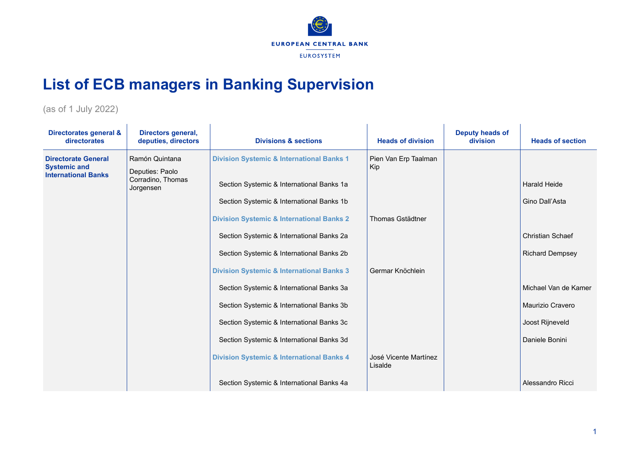

## **List of ECB managers in Banking Supervision**

(as of 1 July 2022)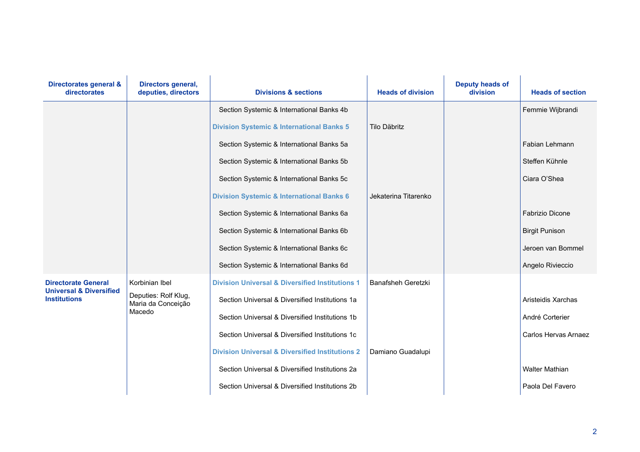| Directorates general &<br>directorates                    | Directors general,<br>deputies, directors  | <b>Divisions &amp; sections</b>                            | <b>Heads of division</b>  | <b>Deputy heads of</b><br>division | <b>Heads of section</b> |
|-----------------------------------------------------------|--------------------------------------------|------------------------------------------------------------|---------------------------|------------------------------------|-------------------------|
|                                                           |                                            | Section Systemic & International Banks 4b                  |                           |                                    | Femmie Wijbrandi        |
|                                                           |                                            | <b>Division Systemic &amp; International Banks 5</b>       | Tilo Däbritz              |                                    |                         |
|                                                           |                                            | Section Systemic & International Banks 5a                  |                           |                                    | Fabian Lehmann          |
|                                                           |                                            | Section Systemic & International Banks 5b                  |                           |                                    | Steffen Kühnle          |
|                                                           |                                            | Section Systemic & International Banks 5c                  |                           |                                    | Ciara O'Shea            |
|                                                           |                                            | <b>Division Systemic &amp; International Banks 6</b>       | Jekaterina Titarenko      |                                    |                         |
|                                                           |                                            | Section Systemic & International Banks 6a                  |                           |                                    | <b>Fabrizio Dicone</b>  |
|                                                           |                                            | Section Systemic & International Banks 6b                  |                           |                                    | <b>Birgit Punison</b>   |
|                                                           |                                            | Section Systemic & International Banks 6c                  |                           |                                    | Jeroen van Bommel       |
|                                                           |                                            | Section Systemic & International Banks 6d                  |                           |                                    | Angelo Rivieccio        |
| <b>Directorate General</b>                                | Korbinian Ibel                             | <b>Division Universal &amp; Diversified Institutions 1</b> | <b>Banafsheh Geretzki</b> |                                    |                         |
| <b>Universal &amp; Diversified</b><br><b>Institutions</b> | Deputies: Rolf Klug,<br>Maria da Conceição | Section Universal & Diversified Institutions 1a            |                           |                                    | Aristeidis Xarchas      |
|                                                           | Macedo                                     | Section Universal & Diversified Institutions 1b            |                           |                                    | André Corterier         |
|                                                           |                                            | Section Universal & Diversified Institutions 1c            |                           |                                    | Carlos Hervas Arnaez    |
|                                                           |                                            | <b>Division Universal &amp; Diversified Institutions 2</b> | Damiano Guadalupi         |                                    |                         |
|                                                           |                                            | Section Universal & Diversified Institutions 2a            |                           |                                    | <b>Walter Mathian</b>   |
|                                                           |                                            | Section Universal & Diversified Institutions 2b            |                           |                                    | Paola Del Favero        |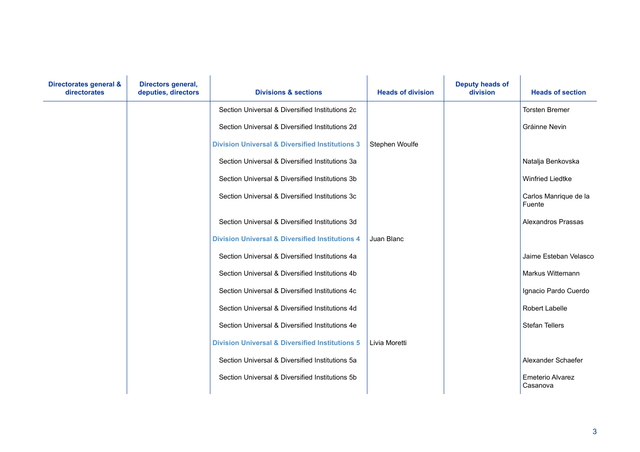| Directorates general &<br>directorates | Directors general,<br>deputies, directors | <b>Divisions &amp; sections</b>                            | <b>Heads of division</b> | <b>Deputy heads of</b><br>division | <b>Heads of section</b>         |
|----------------------------------------|-------------------------------------------|------------------------------------------------------------|--------------------------|------------------------------------|---------------------------------|
|                                        |                                           | Section Universal & Diversified Institutions 2c            |                          |                                    | <b>Torsten Bremer</b>           |
|                                        |                                           | Section Universal & Diversified Institutions 2d            |                          |                                    | Gráinne Nevin                   |
|                                        |                                           | <b>Division Universal &amp; Diversified Institutions 3</b> | Stephen Woulfe           |                                    |                                 |
|                                        |                                           | Section Universal & Diversified Institutions 3a            |                          |                                    | Natalja Benkovska               |
|                                        |                                           | Section Universal & Diversified Institutions 3b            |                          |                                    | <b>Winfried Liedtke</b>         |
|                                        |                                           | Section Universal & Diversified Institutions 3c            |                          |                                    | Carlos Manrique de la<br>Fuente |
|                                        |                                           | Section Universal & Diversified Institutions 3d            |                          |                                    | <b>Alexandros Prassas</b>       |
|                                        |                                           | <b>Division Universal &amp; Diversified Institutions 4</b> | Juan Blanc               |                                    |                                 |
|                                        |                                           | Section Universal & Diversified Institutions 4a            |                          |                                    | Jaime Esteban Velasco           |
|                                        |                                           | Section Universal & Diversified Institutions 4b            |                          |                                    | Markus Wittemann                |
|                                        |                                           | Section Universal & Diversified Institutions 4c            |                          |                                    | Ignacio Pardo Cuerdo            |
|                                        |                                           | Section Universal & Diversified Institutions 4d            |                          |                                    | <b>Robert Labelle</b>           |
|                                        |                                           | Section Universal & Diversified Institutions 4e            |                          |                                    | Stefan Tellers                  |
|                                        |                                           | <b>Division Universal &amp; Diversified Institutions 5</b> | Livia Moretti            |                                    |                                 |
|                                        |                                           | Section Universal & Diversified Institutions 5a            |                          |                                    | Alexander Schaefer              |
|                                        |                                           | Section Universal & Diversified Institutions 5b            |                          |                                    | Emeterio Alvarez<br>Casanova    |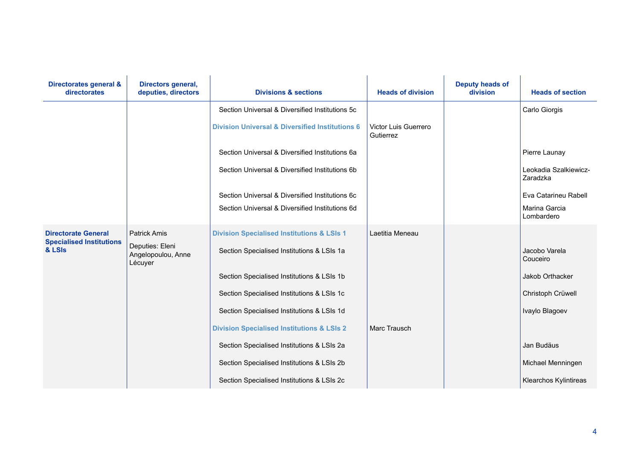| Directorates general &<br>directorates    | Directors general,<br>deputies, directors        | <b>Divisions &amp; sections</b>                            | <b>Heads of division</b>          | <b>Deputy heads of</b><br>division | <b>Heads of section</b>           |
|-------------------------------------------|--------------------------------------------------|------------------------------------------------------------|-----------------------------------|------------------------------------|-----------------------------------|
|                                           |                                                  | Section Universal & Diversified Institutions 5c            |                                   |                                    | Carlo Giorgis                     |
|                                           |                                                  | <b>Division Universal &amp; Diversified Institutions 6</b> | Victor Luis Guerrero<br>Gutierrez |                                    |                                   |
|                                           |                                                  | Section Universal & Diversified Institutions 6a            |                                   |                                    | Pierre Launay                     |
|                                           |                                                  | Section Universal & Diversified Institutions 6b            |                                   |                                    | Leokadia Szalkiewicz-<br>Zaradzka |
|                                           |                                                  | Section Universal & Diversified Institutions 6c            |                                   |                                    | Eva Catarineu Rabell              |
|                                           |                                                  | Section Universal & Diversified Institutions 6d            |                                   |                                    | Marina Garcia<br>Lombardero       |
| <b>Directorate General</b>                | <b>Patrick Amis</b>                              | <b>Division Specialised Institutions &amp; LSIs 1</b>      | Laetitia Meneau                   |                                    |                                   |
| <b>Specialised Institutions</b><br>& LSIs | Deputies: Eleni<br>Angelopoulou, Anne<br>Lécuyer | Section Specialised Institutions & LSIs 1a                 |                                   |                                    | Jacobo Varela<br>Couceiro         |
|                                           |                                                  | Section Specialised Institutions & LSIs 1b                 |                                   |                                    | Jakob Orthacker                   |
|                                           |                                                  | Section Specialised Institutions & LSIs 1c                 |                                   |                                    | Christoph Crüwell                 |
|                                           |                                                  | Section Specialised Institutions & LSIs 1d                 |                                   |                                    | Ivaylo Blagoev                    |
|                                           |                                                  | <b>Division Specialised Institutions &amp; LSIs 2</b>      | Marc Trausch                      |                                    |                                   |
|                                           |                                                  | Section Specialised Institutions & LSIs 2a                 |                                   |                                    | Jan Budäus                        |
|                                           |                                                  | Section Specialised Institutions & LSIs 2b                 |                                   |                                    | Michael Menningen                 |
|                                           |                                                  | Section Specialised Institutions & LSIs 2c                 |                                   |                                    | <b>Klearchos Kylintireas</b>      |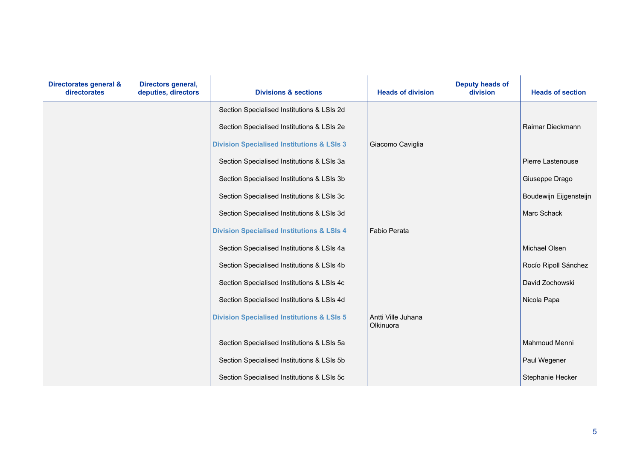| Directorates general &<br>directorates | Directors general,<br>deputies, directors | <b>Divisions &amp; sections</b>                       | <b>Heads of division</b>        | <b>Deputy heads of</b><br>division | <b>Heads of section</b> |
|----------------------------------------|-------------------------------------------|-------------------------------------------------------|---------------------------------|------------------------------------|-------------------------|
|                                        |                                           | Section Specialised Institutions & LSIs 2d            |                                 |                                    |                         |
|                                        |                                           | Section Specialised Institutions & LSIs 2e            |                                 |                                    | Raimar Dieckmann        |
|                                        |                                           | <b>Division Specialised Institutions &amp; LSIs 3</b> | Giacomo Caviglia                |                                    |                         |
|                                        |                                           | Section Specialised Institutions & LSIs 3a            |                                 |                                    | Pierre Lastenouse       |
|                                        |                                           | Section Specialised Institutions & LSIs 3b            |                                 |                                    | Giuseppe Drago          |
|                                        |                                           | Section Specialised Institutions & LSIs 3c            |                                 |                                    | Boudewijn Eijgensteijn  |
|                                        |                                           | Section Specialised Institutions & LSIs 3d            |                                 |                                    | Marc Schack             |
|                                        |                                           | <b>Division Specialised Institutions &amp; LSIs 4</b> | <b>Fabio Perata</b>             |                                    |                         |
|                                        |                                           | Section Specialised Institutions & LSIs 4a            |                                 |                                    | Michael Olsen           |
|                                        |                                           | Section Specialised Institutions & LSIs 4b            |                                 |                                    | Rocío Ripoll Sánchez    |
|                                        |                                           | Section Specialised Institutions & LSIs 4c            |                                 |                                    | David Zochowski         |
|                                        |                                           | Section Specialised Institutions & LSIs 4d            |                                 |                                    | Nicola Papa             |
|                                        |                                           | <b>Division Specialised Institutions &amp; LSIs 5</b> | Antti Ville Juhana<br>Olkinuora |                                    |                         |
|                                        |                                           | Section Specialised Institutions & LSIs 5a            |                                 |                                    | Mahmoud Menni           |
|                                        |                                           | Section Specialised Institutions & LSIs 5b            |                                 |                                    | Paul Wegener            |
|                                        |                                           | Section Specialised Institutions & LSIs 5c            |                                 |                                    | Stephanie Hecker        |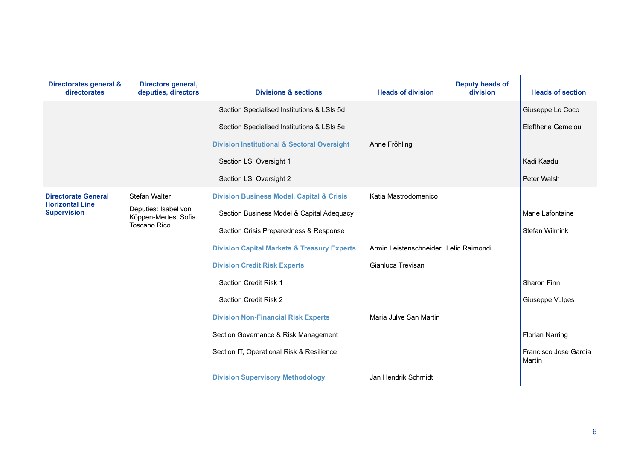| Directorates general &<br>directorates               | Directors general,<br>deputies, directors                           | <b>Divisions &amp; sections</b>                        | <b>Heads of division</b> | <b>Deputy heads of</b><br>division | <b>Heads of section</b>         |
|------------------------------------------------------|---------------------------------------------------------------------|--------------------------------------------------------|--------------------------|------------------------------------|---------------------------------|
|                                                      |                                                                     | Section Specialised Institutions & LSIs 5d             |                          |                                    | Giuseppe Lo Coco                |
|                                                      |                                                                     | Section Specialised Institutions & LSIs 5e             |                          |                                    | Eleftheria Gemelou              |
|                                                      |                                                                     | <b>Division Institutional &amp; Sectoral Oversight</b> | Anne Fröhling            |                                    |                                 |
|                                                      |                                                                     | Section LSI Oversight 1                                |                          |                                    | Kadi Kaadu                      |
|                                                      |                                                                     | Section LSI Oversight 2                                |                          |                                    | Peter Walsh                     |
| <b>Directorate General</b><br><b>Horizontal Line</b> | Stefan Walter                                                       | <b>Division Business Model, Capital &amp; Crisis</b>   | Katia Mastrodomenico     |                                    |                                 |
| <b>Supervision</b>                                   | Deputies: Isabel von<br>Köppen-Mertes, Sofia<br><b>Toscano Rico</b> | Section Business Model & Capital Adequacy              |                          |                                    | Marie Lafontaine                |
|                                                      |                                                                     | Section Crisis Preparedness & Response                 |                          |                                    | <b>Stefan Wilmink</b>           |
|                                                      |                                                                     | <b>Division Capital Markets &amp; Treasury Experts</b> | Armin Leistenschneider   | Lelio Raimondi                     |                                 |
|                                                      |                                                                     | <b>Division Credit Risk Experts</b>                    | Gianluca Trevisan        |                                    |                                 |
|                                                      |                                                                     | Section Credit Risk 1                                  |                          |                                    | Sharon Finn                     |
|                                                      |                                                                     | Section Credit Risk 2                                  |                          |                                    | Giuseppe Vulpes                 |
|                                                      |                                                                     | <b>Division Non-Financial Risk Experts</b>             | Maria Julve San Martin   |                                    |                                 |
|                                                      |                                                                     | Section Governance & Risk Management                   |                          |                                    | <b>Florian Narring</b>          |
|                                                      |                                                                     | Section IT, Operational Risk & Resilience              |                          |                                    | Francisco José García<br>Martín |
|                                                      |                                                                     | <b>Division Supervisory Methodology</b>                | Jan Hendrik Schmidt      |                                    |                                 |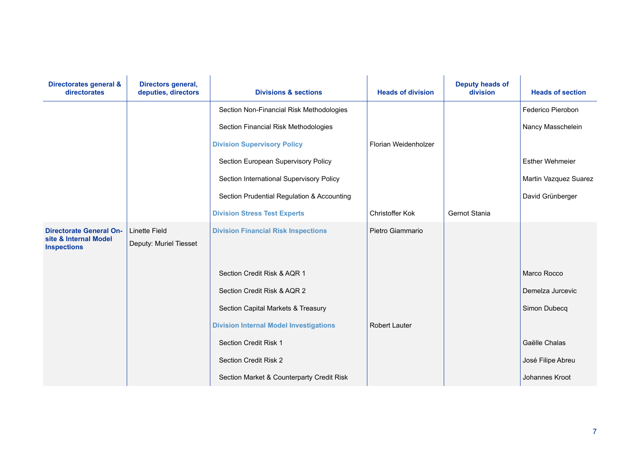| Directorates general &<br>directorates                                        | Directors general,<br>deputies, directors      | <b>Divisions &amp; sections</b>               | <b>Heads of division</b> | <b>Deputy heads of</b><br>division | <b>Heads of section</b> |
|-------------------------------------------------------------------------------|------------------------------------------------|-----------------------------------------------|--------------------------|------------------------------------|-------------------------|
|                                                                               |                                                | Section Non-Financial Risk Methodologies      |                          |                                    | Federico Pierobon       |
|                                                                               |                                                | Section Financial Risk Methodologies          |                          |                                    | Nancy Masschelein       |
|                                                                               |                                                | <b>Division Supervisory Policy</b>            | Florian Weidenholzer     |                                    |                         |
|                                                                               |                                                | Section European Supervisory Policy           |                          |                                    | <b>Esther Wehmeier</b>  |
|                                                                               |                                                | Section International Supervisory Policy      |                          |                                    | Martin Vazquez Suarez   |
|                                                                               |                                                | Section Prudential Regulation & Accounting    |                          |                                    | David Grünberger        |
|                                                                               |                                                | <b>Division Stress Test Experts</b>           | Christoffer Kok          | Gernot Stania                      |                         |
| <b>Directorate General On-</b><br>site & Internal Model<br><b>Inspections</b> | <b>Linette Field</b><br>Deputy: Muriel Tiesset | <b>Division Financial Risk Inspections</b>    | Pietro Giammario         |                                    |                         |
|                                                                               |                                                | Section Credit Risk & AQR 1                   |                          |                                    | Marco Rocco             |
|                                                                               |                                                | Section Credit Risk & AQR 2                   |                          |                                    | Demelza Jurcevic        |
|                                                                               |                                                | Section Capital Markets & Treasury            |                          |                                    | Simon Dubecq            |
|                                                                               |                                                | <b>Division Internal Model Investigations</b> | <b>Robert Lauter</b>     |                                    |                         |
|                                                                               |                                                | Section Credit Risk 1                         |                          |                                    | Gaëlle Chalas           |
|                                                                               |                                                | Section Credit Risk 2                         |                          |                                    | José Filipe Abreu       |
|                                                                               |                                                | Section Market & Counterparty Credit Risk     |                          |                                    | Johannes Kroot          |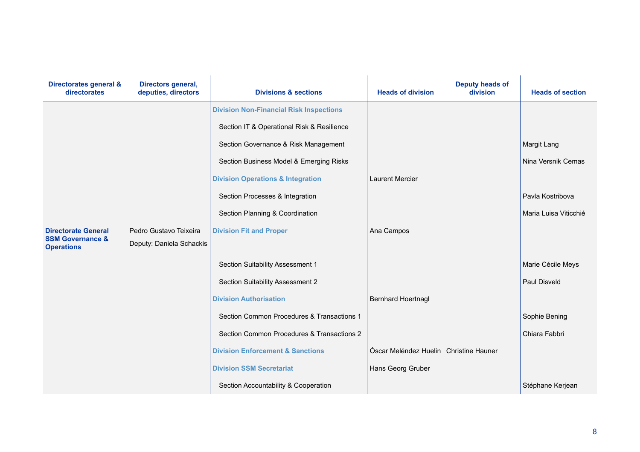| Directorates general &<br>directorates           | Directors general,<br>deputies, directors | <b>Divisions &amp; sections</b>                | <b>Heads of division</b>  | <b>Deputy heads of</b><br>division | <b>Heads of section</b> |
|--------------------------------------------------|-------------------------------------------|------------------------------------------------|---------------------------|------------------------------------|-------------------------|
|                                                  |                                           | <b>Division Non-Financial Risk Inspections</b> |                           |                                    |                         |
|                                                  |                                           | Section IT & Operational Risk & Resilience     |                           |                                    |                         |
|                                                  |                                           | Section Governance & Risk Management           |                           |                                    | Margit Lang             |
|                                                  |                                           | Section Business Model & Emerging Risks        |                           |                                    | Nina Versnik Cemas      |
|                                                  |                                           | <b>Division Operations &amp; Integration</b>   | <b>Laurent Mercier</b>    |                                    |                         |
|                                                  |                                           | Section Processes & Integration                |                           |                                    | Pavla Kostribova        |
|                                                  |                                           | Section Planning & Coordination                |                           |                                    | Maria Luisa Viticchié   |
| <b>Directorate General</b>                       | Pedro Gustavo Teixeira                    | <b>Division Fit and Proper</b>                 | Ana Campos                |                                    |                         |
| <b>SSM Governance &amp;</b><br><b>Operations</b> | Deputy: Daniela Schackis                  |                                                |                           |                                    |                         |
|                                                  |                                           | Section Suitability Assessment 1               |                           |                                    | Marie Cécile Meys       |
|                                                  |                                           | Section Suitability Assessment 2               |                           |                                    | Paul Disveld            |
|                                                  |                                           | <b>Division Authorisation</b>                  | <b>Bernhard Hoertnagl</b> |                                    |                         |
|                                                  |                                           | Section Common Procedures & Transactions 1     |                           |                                    | Sophie Bening           |
|                                                  |                                           | Section Common Procedures & Transactions 2     |                           |                                    | Chiara Fabbri           |
|                                                  |                                           | <b>Division Enforcement &amp; Sanctions</b>    | Óscar Meléndez Huelin     | <b>Christine Hauner</b>            |                         |
|                                                  |                                           | <b>Division SSM Secretariat</b>                | Hans Georg Gruber         |                                    |                         |
|                                                  |                                           | Section Accountability & Cooperation           |                           |                                    | Stéphane Kerjean        |